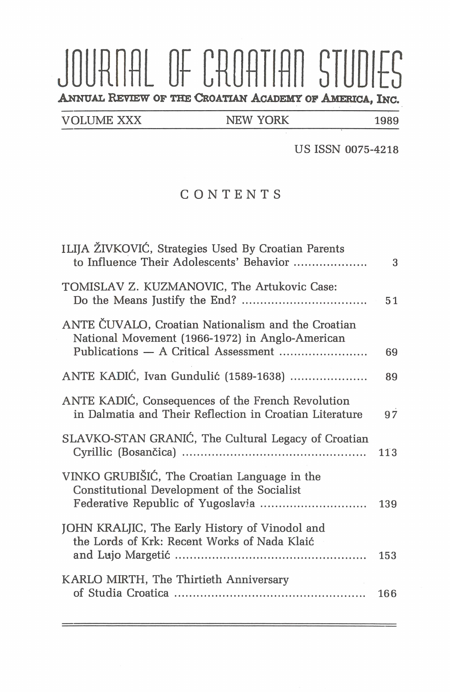## JOURNAL OF CROATIAN STUDIES **ANNUAL REVIEW OF THE CROATIAN ACADEMY OF AMERICA, INC.**

VOLUME XXX NEW YORK 1989

US ISSN 0075-4218

CONTENTS

| ILIJA ŽIVKOVIĆ, Strategies Used By Croatian Parents<br>to Influence Their Adolescents' Behavior              | 3   |
|--------------------------------------------------------------------------------------------------------------|-----|
| TOMISLAV Z. KUZMANOVIC, The Artukovic Case:                                                                  | 51  |
| ANTE ČUVALO, Croatian Nationalism and the Croatian<br>National Movement (1966-1972) in Anglo-American        | 69  |
| ANTE KADIĆ, Ivan Gundulić (1589-1638)                                                                        | 89  |
| ANTE KADIĆ, Consequences of the French Revolution<br>in Dalmatia and Their Reflection in Croatian Literature | 97  |
| SLAVKO-STAN GRANIĆ, The Cultural Legacy of Croatian                                                          | 113 |
| VINKO GRUBIŠIĆ, The Croatian Language in the<br>Constitutional Development of the Socialist                  | 139 |
| JOHN KRALJIC, The Early History of Vinodol and<br>the Lords of Krk: Recent Works of Nada Klaić               | 153 |
| KARLO MIRTH, The Thirtieth Anniversary                                                                       | 166 |